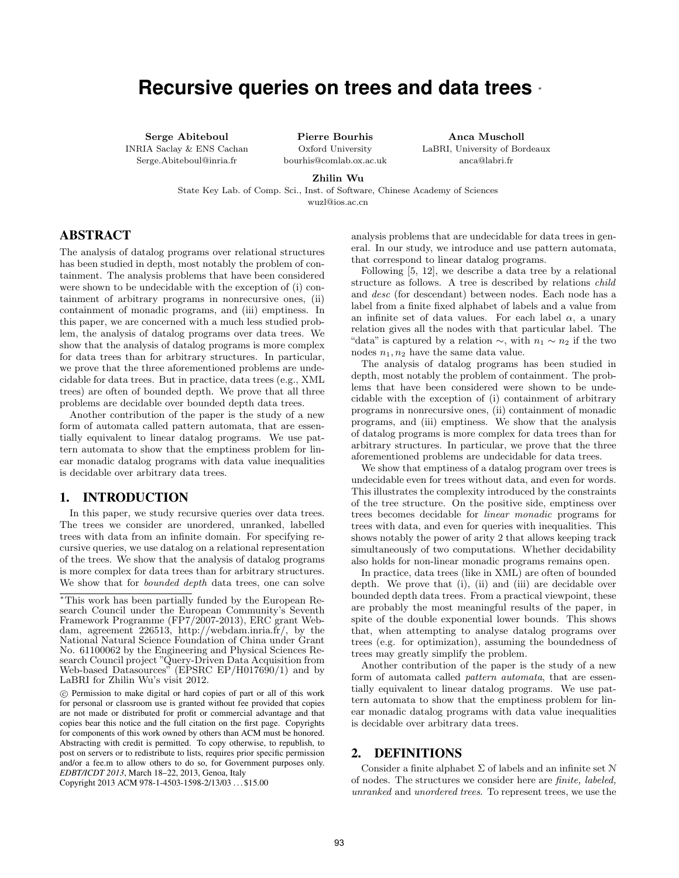# **Recursive queries on trees and data trees** <sup>∗</sup>

Serge Abiteboul INRIA Saclay & ENS Cachan Serge.Abiteboul@inria.fr

Pierre Bourhis Oxford University bourhis@comlab.ox.ac.uk

Anca Muscholl LaBRI, University of Bordeaux anca@labri.fr

Zhilin Wu

State Key Lab. of Comp. Sci., Inst. of Software, Chinese Academy of Sciences wuzl@ios.ac.cn

# ABSTRACT

The analysis of datalog programs over relational structures has been studied in depth, most notably the problem of containment. The analysis problems that have been considered were shown to be undecidable with the exception of (i) containment of arbitrary programs in nonrecursive ones, (ii) containment of monadic programs, and (iii) emptiness. In this paper, we are concerned with a much less studied problem, the analysis of datalog programs over data trees. We show that the analysis of datalog programs is more complex for data trees than for arbitrary structures. In particular, we prove that the three aforementioned problems are undecidable for data trees. But in practice, data trees (e.g., XML trees) are often of bounded depth. We prove that all three problems are decidable over bounded depth data trees.

Another contribution of the paper is the study of a new form of automata called pattern automata, that are essentially equivalent to linear datalog programs. We use pattern automata to show that the emptiness problem for linear monadic datalog programs with data value inequalities is decidable over arbitrary data trees.

# 1. INTRODUCTION

In this paper, we study recursive queries over data trees. The trees we consider are unordered, unranked, labelled trees with data from an infinite domain. For specifying recursive queries, we use datalog on a relational representation of the trees. We show that the analysis of datalog programs is more complex for data trees than for arbitrary structures. We show that for *bounded depth* data trees, one can solve analysis problems that are undecidable for data trees in general. In our study, we introduce and use pattern automata, that correspond to linear datalog programs.

Following [5, 12], we describe a data tree by a relational structure as follows. A tree is described by relations child and desc (for descendant) between nodes. Each node has a label from a finite fixed alphabet of labels and a value from an infinite set of data values. For each label  $\alpha$ , a unary relation gives all the nodes with that particular label. The "data" is captured by a relation  $\sim$ , with  $n_1 \sim n_2$  if the two nodes  $n_1, n_2$  have the same data value.

The analysis of datalog programs has been studied in depth, most notably the problem of containment. The problems that have been considered were shown to be undecidable with the exception of (i) containment of arbitrary programs in nonrecursive ones, (ii) containment of monadic programs, and (iii) emptiness. We show that the analysis of datalog programs is more complex for data trees than for arbitrary structures. In particular, we prove that the three aforementioned problems are undecidable for data trees.

We show that emptiness of a datalog program over trees is undecidable even for trees without data, and even for words. This illustrates the complexity introduced by the constraints of the tree structure. On the positive side, emptiness over trees becomes decidable for linear monadic programs for trees with data, and even for queries with inequalities. This shows notably the power of arity 2 that allows keeping track simultaneously of two computations. Whether decidability also holds for non-linear monadic programs remains open.

In practice, data trees (like in XML) are often of bounded depth. We prove that (i), (ii) and (iii) are decidable over bounded depth data trees. From a practical viewpoint, these are probably the most meaningful results of the paper, in spite of the double exponential lower bounds. This shows that, when attempting to analyse datalog programs over trees (e.g. for optimization), assuming the boundedness of trees may greatly simplify the problem.

Another contribution of the paper is the study of a new form of automata called pattern automata, that are essentially equivalent to linear datalog programs. We use pattern automata to show that the emptiness problem for linear monadic datalog programs with data value inequalities is decidable over arbitrary data trees.

# 2. DEFINITIONS

Consider a finite alphabet  $\Sigma$  of labels and an infinite set  $\mathcal N$ of nodes. The structures we consider here are finite, labeled, unranked and unordered trees. To represent trees, we use the

<sup>∗</sup>This work has been partially funded by the European Research Council under the European Community's Seventh Framework Programme (FP7/2007-2013), ERC grant Webdam, agreement 226513, http://webdam.inria.fr/, by the National Natural Science Foundation of China under Grant No. 61100062 by the Engineering and Physical Sciences Research Council project "Query-Driven Data Acquisition from Web-based Datasources" (EPSRC EP/H017690/1) and by LaBRI for Zhilin Wu's visit 2012.

c Permission to make digital or hard copies of part or all of this work for personal or classroom use is granted without fee provided that copies are not made or distributed for profit or commercial advantage and that copies bear this notice and the full citation on the first page. Copyrights for components of this work owned by others than ACM must be honored. Abstracting with credit is permitted. To copy otherwise, to republish, to post on servers or to redistribute to lists, requires prior specific permission and/or a fee.m to allow others to do so, for Government purposes only. *EDBT/ICDT 2013*, March 18–22, 2013, Genoa, Italy

Copyright 2013 ACM 978-1-4503-1598-2/13/03 . . . \$15.00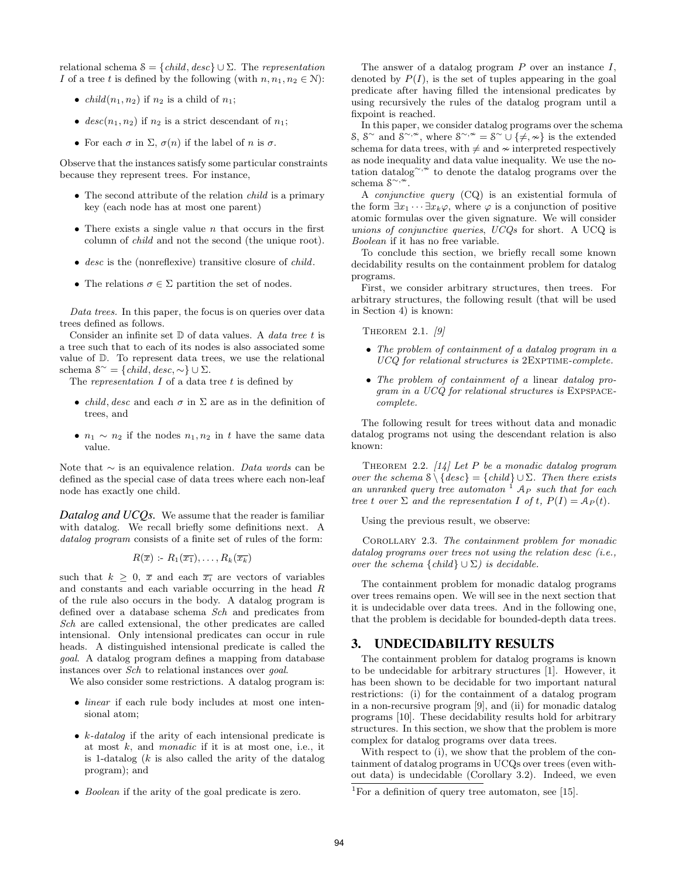relational schema  $S = \{child, desc\} \cup \Sigma$ . The representation I of a tree t is defined by the following (with  $n, n_1, n_2 \in \mathbb{N}$ ):

- *child* $(n_1, n_2)$  if  $n_2$  is a child of  $n_1$ ;
- $desc(n_1, n_2)$  if  $n_2$  is a strict descendant of  $n_1$ ;
- For each  $\sigma$  in  $\Sigma$ ,  $\sigma(n)$  if the label of n is  $\sigma$ .

Observe that the instances satisfy some particular constraints because they represent trees. For instance,

- The second attribute of the relation *child* is a primary key (each node has at most one parent)
- There exists a single value  $n$  that occurs in the first column of child and not the second (the unique root).
- desc is the (nonreflexive) transitive closure of *child*.
- The relations  $\sigma \in \Sigma$  partition the set of nodes.

Data trees. In this paper, the focus is on queries over data trees defined as follows.

Consider an infinite set  $D$  of data values. A *data tree t* is a tree such that to each of its nodes is also associated some value of D. To represent data trees, we use the relational schema  $S^{\sim} = \{child, desc, \sim\} \cup \Sigma.$ 

The representation  $I$  of a data tree  $t$  is defined by

- *child, desc* and each  $\sigma$  in  $\Sigma$  are as in the definition of trees, and
- $n_1 \sim n_2$  if the nodes  $n_1, n_2$  in t have the same data value.

Note that  $\sim$  is an equivalence relation. Data words can be defined as the special case of data trees where each non-leaf node has exactly one child.

*Datalog and UCQs.* We assume that the reader is familiar with datalog. We recall briefly some definitions next. A datalog program consists of a finite set of rules of the form:

$$
R(\overline{x}): R_1(\overline{x_1}), \ldots, R_k(\overline{x_k})
$$

such that  $k \geq 0$ ,  $\bar{x}$  and each  $\bar{x}_i$  are vectors of variables and constants and each variable occurring in the head R of the rule also occurs in the body. A datalog program is defined over a database schema Sch and predicates from Sch are called extensional, the other predicates are called intensional. Only intensional predicates can occur in rule heads. A distinguished intensional predicate is called the goal. A datalog program defines a mapping from database instances over Sch to relational instances over goal.

We also consider some restrictions. A datalog program is:

- *linear* if each rule body includes at most one intensional atom;
- $k$ -datalog if the arity of each intensional predicate is at most  $k$ , and *monadic* if it is at most one, i.e., it is 1-datalog  $(k$  is also called the arity of the datalog program); and
- Boolean if the arity of the goal predicate is zero.

The answer of a datalog program  $P$  over an instance  $I$ , denoted by  $P(I)$ , is the set of tuples appearing in the goal predicate after having filled the intensional predicates by using recursively the rules of the datalog program until a fixpoint is reached.

In this paper, we consider datalog programs over the schema S, S<sup>∼</sup> and S<sup>∼,≁</sup>, where S<sup>∼,≁</sup> = S<sup>∼</sup>∪{≠,≁} is the extended schema for data trees, with  $\neq$  and  $\sim$  interpreted respectively as node inequality and data value inequality. We use the notation datalog∼,  $\sim$  to denote the datalog programs over the schema  $S^{\sim,\sim}$ .

A conjunctive query (CQ) is an existential formula of the form  $\exists x_1 \cdots \exists x_k \varphi$ , where  $\varphi$  is a conjunction of positive atomic formulas over the given signature. We will consider unions of conjunctive queries, UCQs for short. A UCQ is Boolean if it has no free variable.

To conclude this section, we briefly recall some known decidability results on the containment problem for datalog programs.

First, we consider arbitrary structures, then trees. For arbitrary structures, the following result (that will be used in Section 4) is known:

THEOREM 2.1. [9]

- The problem of containment of a datalog program in a UCQ for relational structures is 2EXPTIME-complete.
- The problem of containment of a linear datalog program in a UCQ for relational structures is Expspacecomplete.

The following result for trees without data and monadic datalog programs not using the descendant relation is also known:

THEOREM 2.2.  $\lceil 14 \rceil$  Let P be a monadic datalog program over the schema  $\{\{desc\} = \{child\} \cup \Sigma$ . Then there exists an unranked query tree automaton  $^{1}$  A<sub>P</sub> such that for each tree t over  $\Sigma$  and the representation I of t,  $P(I) = A_P(t)$ .

Using the previous result, we observe:

Corollary 2.3. The containment problem for monadic datalog programs over trees not using the relation desc  $(i.e.,$ over the schema  $\{child\} \cup \Sigma$ ) is decidable.

The containment problem for monadic datalog programs over trees remains open. We will see in the next section that it is undecidable over data trees. And in the following one, that the problem is decidable for bounded-depth data trees.

#### 3. UNDECIDABILITY RESULTS

The containment problem for datalog programs is known to be undecidable for arbitrary structures [1]. However, it has been shown to be decidable for two important natural restrictions: (i) for the containment of a datalog program in a non-recursive program [9], and (ii) for monadic datalog programs [10]. These decidability results hold for arbitrary structures. In this section, we show that the problem is more complex for datalog programs over data trees.

With respect to (i), we show that the problem of the containment of datalog programs in UCQs over trees (even without data) is undecidable (Corollary 3.2). Indeed, we even

<sup>&</sup>lt;sup>1</sup>For a definition of query tree automaton, see [15].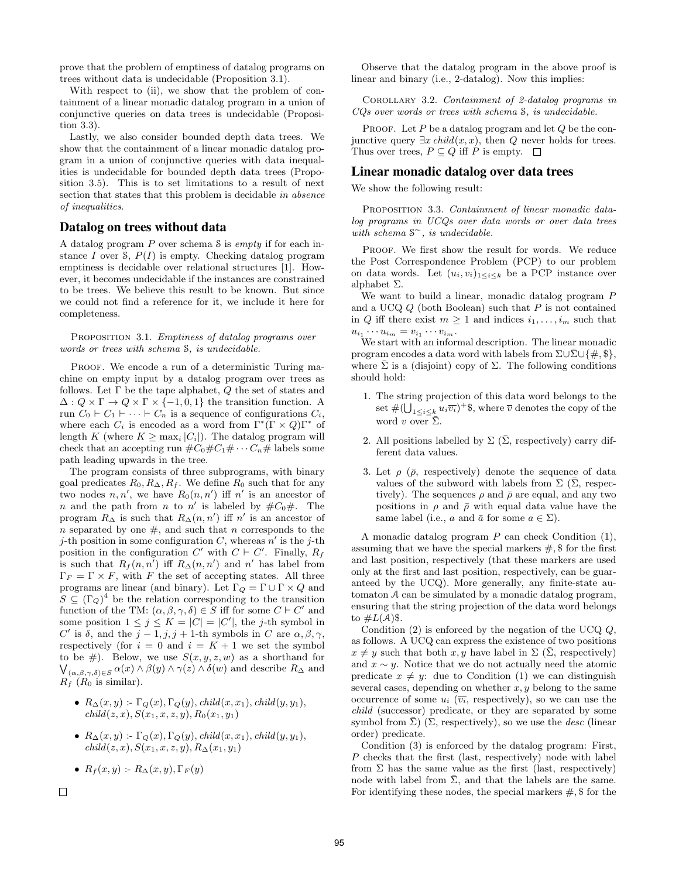prove that the problem of emptiness of datalog programs on trees without data is undecidable (Proposition 3.1).

With respect to (ii), we show that the problem of containment of a linear monadic datalog program in a union of conjunctive queries on data trees is undecidable (Proposition 3.3).

Lastly, we also consider bounded depth data trees. We show that the containment of a linear monadic datalog program in a union of conjunctive queries with data inequalities is undecidable for bounded depth data trees (Proposition 3.5). This is to set limitations to a result of next section that states that this problem is decidable in absence of inequalities.

# Datalog on trees without data

A datalog program  $P$  over schema  $S$  is *empty* if for each instance I over  $S$ ,  $P(I)$  is empty. Checking datalog program emptiness is decidable over relational structures [1]. However, it becomes undecidable if the instances are constrained to be trees. We believe this result to be known. But since we could not find a reference for it, we include it here for completeness.

PROPOSITION 3.1. Emptiness of datalog programs over words or trees with schema S, is undecidable.

PROOF. We encode a run of a deterministic Turing machine on empty input by a datalog program over trees as follows. Let  $\Gamma$  be the tape alphabet,  $Q$  the set of states and  $\Delta: Q \times \Gamma \to Q \times \Gamma \times \{-1,0,1\}$  the transition function. A run  $C_0 \vdash C_1 \vdash \cdots \vdash C_n$  is a sequence of configurations  $C_i$ , where each  $C_i$  is encoded as a word from  $\Gamma^*(\Gamma \times Q)\Gamma^*$  of length K (where  $K \geq \max_i |C_i|$ ). The datalog program will check that an accepting run  $\#C_0\#C_1\#\cdots C_n\#$  labels some path leading upwards in the tree.

The program consists of three subprograms, with binary goal predicates  $R_0, R_\Delta, R_f$ . We define  $R_0$  such that for any two nodes  $n, n'$ , we have  $R_0(n, n')$  iff n' is an ancestor of *n* and the path from *n* to *n'* is labeled by  $\#C_0\#$ . The program  $R_{\Delta}$  is such that  $R_{\Delta}(n, n')$  iff n' is an ancestor of n separated by one  $\#$ , and such that n corresponds to the j-th position in some configuration C, whereas  $n'$  is the j-th position in the configuration  $C'$  with  $C \vdash C'$ . Finally,  $R_f$ is such that  $R_f(n, n')$  iff  $R_{\Delta}(n, n')$  and n' has label from  $\Gamma_F = \Gamma \times F$ , with F the set of accepting states. All three programs are linear (and binary). Let  $\Gamma_Q = \Gamma \cup \Gamma \times Q$  and  $S \subseteq (\Gamma_Q)^4$  be the relation corresponding to the transition function of the TM:  $(\alpha, \beta, \gamma, \delta) \in S$  iff for some  $C \vdash C'$  and some position  $1 \leq j \leq K = |C| = |C'|$ , the j-th symbol in C' is  $\delta$ , and the  $j-1, j, j+1$ -th symbols in C are  $\alpha, \beta, \gamma$ , respectively (for  $i = 0$  and  $i = K + 1$  we set the symbol to be #). Below, we use  $S(x, y, z, w)$  as a shorthand for  $\bigvee_{(\alpha,\beta,\gamma,\delta)\in S}\alpha(x)\wedge\beta(y)\wedge\gamma(z)\wedge\delta(w)$  and describe  $R_{\Delta}$  and  $R_f$  ( $R_0$  is similar).

- $R_{\Delta}(x, y)$ :  $\Gamma_{\mathcal{O}}(x), \Gamma_{\mathcal{O}}(y), \text{child}(x, x_1), \text{child}(y, y_1),$  $child(z, x), S(x_1, x, z, y), R_0(x_1, y_1)$
- $R_{\Delta}(x, y)$ :  $\Gamma_Q(x), \Gamma_Q(y), child(x, x_1), child(y, y_1),$  $child(z, x), S(x_1, x, z, y), R_{\Delta}(x_1, y_1)$
- $R_f(x, y) = R_\Delta(x, y), \Gamma_F(y)$
- $\Box$

Observe that the datalog program in the above proof is linear and binary (i.e., 2-datalog). Now this implies:

Corollary 3.2. Containment of 2-datalog programs in CQs over words or trees with schema S, is undecidable.

PROOF. Let  $P$  be a datalog program and let  $Q$  be the conjunctive query  $\exists x \text{ child}(x, x)$ , then Q never holds for trees. Thus over trees,  $P \subseteq Q$  iff P is empty.  $\square$ 

### Linear monadic datalog over data trees

We show the following result:

PROPOSITION 3.3. Containment of linear monadic datalog programs in UCQs over data words or over data trees with schema S <sup>∼</sup>, is undecidable.

PROOF. We first show the result for words. We reduce the Post Correspondence Problem (PCP) to our problem on data words. Let  $(u_i, v_i)_{1 \leq i \leq k}$  be a PCP instance over alphabet Σ.

We want to build a linear, monadic datalog program P and a UCQ  $Q$  (both Boolean) such that  $P$  is not contained in Q iff there exist  $m \geq 1$  and indices  $i_1, \ldots, i_m$  such that  $u_{i_1}\cdots u_{i_m}=v_{i_1}\cdots v_{i_m}.$ 

We start with an informal description. The linear monadic program encodes a data word with labels from  $\Sigma \cup \overline{\Sigma} \cup \{ \#, \$\},\$ where  $\bar{\Sigma}$  is a (disjoint) copy of  $\Sigma$ . The following conditions should hold:

- 1. The string projection of this data word belongs to the set  $\#(\bigcup_{1\leq i\leq k}u_i\overline{v_i})^+$ \$, where  $\overline{v}$  denotes the copy of the word v over  $\bar{\Sigma}$ .
- 2. All positions labelled by  $\Sigma$  ( $\overline{\Sigma}$ , respectively) carry different data values.
- 3. Let  $\rho$  ( $\bar{\rho}$ , respectively) denote the sequence of data values of the subword with labels from  $\Sigma$  ( $\bar{\Sigma}$ , respectively). The sequences  $\rho$  and  $\bar{\rho}$  are equal, and any two positions in  $\rho$  and  $\bar{\rho}$  with equal data value have the same label (i.e., a and  $\bar{a}$  for some  $a \in \Sigma$ ).

A monadic datalog program  $P$  can check Condition  $(1)$ , assuming that we have the special markers  $\#$ , \$ for the first and last position, respectively (that these markers are used only at the first and last position, respectively, can be guaranteed by the UCQ). More generally, any finite-state automaton A can be simulated by a monadic datalog program, ensuring that the string projection of the data word belongs to  $\#L(\mathcal{A})\$ .

Condition  $(2)$  is enforced by the negation of the UCQ  $Q$ , as follows. A UCQ can express the existence of two positions  $x \neq y$  such that both  $x, y$  have label in  $\Sigma$  ( $\overline{\Sigma}$ , respectively) and  $x \sim y$ . Notice that we do not actually need the atomic predicate  $x \neq y$ : due to Condition (1) we can distinguish several cases, depending on whether  $x, y$  belong to the same occurrence of some  $u_i$  ( $\overline{v_i}$ , respectively), so we can use the child (successor) predicate, or they are separated by some symbol from  $\Sigma$ ) ( $\Sigma$ , respectively), so we use the *desc* (linear order) predicate.

Condition (3) is enforced by the datalog program: First, P checks that the first (last, respectively) node with label from  $\Sigma$  has the same value as the first (last, respectively) node with label from  $\bar{\Sigma}$ , and that the labels are the same. For identifying these nodes, the special markers  $\#$ ,  $\$ for the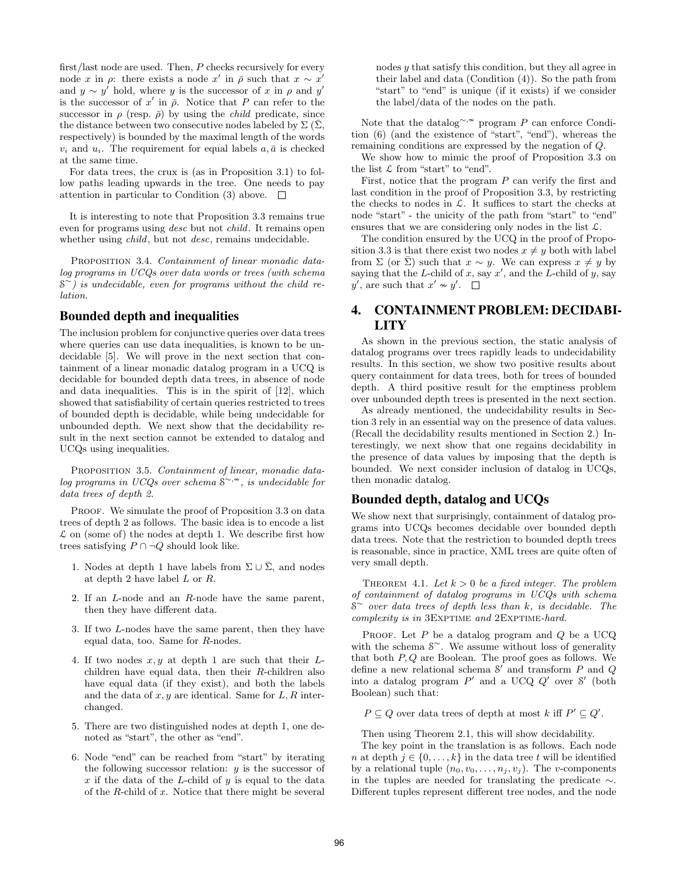first/last node are used. Then, P checks recursively for every node x in  $\rho$ : there exists a node x' in  $\bar{\rho}$  such that  $x \sim x'$ and  $y \sim y'$  hold, where y is the successor of x in  $\rho$  and y' is the successor of x' in  $\bar{\rho}$ . Notice that P can refer to the successor in  $\rho$  (resp.  $\bar{\rho}$ ) by using the *child* predicate, since the distance between two consecutive nodes labeled by  $\Sigma(\Sigma, \mathcal{Z})$ respectively) is bounded by the maximal length of the words  $v_i$  and  $u_i$ . The requirement for equal labels  $a, \bar{a}$  is checked at the same time.

For data trees, the crux is (as in Proposition 3.1) to follow paths leading upwards in the tree. One needs to pay attention in particular to Condition (3) above.  $\square$ 

It is interesting to note that Proposition 3.3 remains true even for programs using desc but not child. It remains open whether using *child*, but not *desc*, remains undecidable.

PROPOSITION 3.4. Containment of linear monadic datalog programs in UCQs over data words or trees (with schema S <sup>∼</sup>) is undecidable, even for programs without the child relation.

# Bounded depth and inequalities

The inclusion problem for conjunctive queries over data trees where queries can use data inequalities, is known to be undecidable [5]. We will prove in the next section that containment of a linear monadic datalog program in a UCQ is decidable for bounded depth data trees, in absence of node and data inequalities. This is in the spirit of [12], which showed that satisfiability of certain queries restricted to trees of bounded depth is decidable, while being undecidable for unbounded depth. We next show that the decidability result in the next section cannot be extended to datalog and UCQs using inequalities.

PROPOSITION 3.5. Containment of linear, monadic datalog programs in UCQs over schema  $\check{s}^{\sim,*}$ , is undecidable for data trees of depth 2.

PROOF. We simulate the proof of Proposition 3.3 on data trees of depth 2 as follows. The basic idea is to encode a list  $\mathcal L$  on (some of) the nodes at depth 1. We describe first how trees satisfying  $P \cap \neg Q$  should look like.

- 1. Nodes at depth 1 have labels from  $\Sigma \cup \overline{\Sigma}$ , and nodes at depth 2 have label L or R.
- 2. If an L-node and an R-node have the same parent, then they have different data.
- 3. If two L-nodes have the same parent, then they have equal data, too. Same for R-nodes.
- 4. If two nodes  $x, y$  at depth 1 are such that their  $L$ children have equal data, then their R-children also have equal data (if they exist), and both the labels and the data of  $x, y$  are identical. Same for  $L, R$  interchanged.
- 5. There are two distinguished nodes at depth 1, one denoted as "start", the other as "end".
- 6. Node "end" can be reached from "start" by iterating the following successor relation:  $y$  is the successor of x if the data of the L-child of  $y$  is equal to the data of the  $R$ -child of  $x$ . Notice that there might be several

nodes y that satisfy this condition, but they all agree in their label and data (Condition (4)). So the path from "start" to "end" is unique (if it exists) if we consider the label/data of the nodes on the path.

Note that the datalog<sup>∼, $\sim$ </sup> program P can enforce Condition (6) (and the existence of "start", "end"), whereas the remaining conditions are expressed by the negation of Q.

We show how to mimic the proof of Proposition 3.3 on the list  $\mathcal L$  from "start" to "end".

First, notice that the program  $P$  can verify the first and last condition in the proof of Proposition 3.3, by restricting the checks to nodes in  $\mathcal{L}$ . It suffices to start the checks at node "start" - the unicity of the path from "start" to "end" ensures that we are considering only nodes in the list  $\mathcal{L}$ .

The condition ensured by the UCQ in the proof of Proposition 3.3 is that there exist two nodes  $x \neq y$  both with label from  $\Sigma$  (or  $\overline{\Sigma}$ ) such that  $x \sim y$ . We can express  $x \neq y$  by saying that the L-child of x, say  $x'$ , and the L-child of y, say y', are such that  $x' \approx y'$ .

# 4. CONTAINMENT PROBLEM: DECIDABI-LITY

As shown in the previous section, the static analysis of datalog programs over trees rapidly leads to undecidability results. In this section, we show two positive results about query containment for data trees, both for trees of bounded depth. A third positive result for the emptiness problem over unbounded depth trees is presented in the next section.

As already mentioned, the undecidability results in Section 3 rely in an essential way on the presence of data values. (Recall the decidability results mentioned in Section 2.) Interestingly, we next show that one regains decidability in the presence of data values by imposing that the depth is bounded. We next consider inclusion of datalog in UCQs, then monadic datalog.

# Bounded depth, datalog and UCQs

We show next that surprisingly, containment of datalog programs into UCQs becomes decidable over bounded depth data trees. Note that the restriction to bounded depth trees is reasonable, since in practice, XML trees are quite often of very small depth.

THEOREM 4.1. Let  $k > 0$  be a fixed integer. The problem of containment of datalog programs in UCQs with schema  $S^{\sim}$  over data trees of depth less than k, is decidable. The complexity is in 3EXPTIME and 2EXPTIME-hard.

PROOF. Let  $P$  be a datalog program and  $Q$  be a UCQ with the schema  $\mathcal{S}^{\sim}$ . We assume without loss of generality that both  $P, Q$  are Boolean. The proof goes as follows. We define a new relational schema  $S'$  and transform P and Q into a datalog program  $P'$  and a UCQ  $Q'$  over  $S'$  (both Boolean) such that:

 $P \subseteq Q$  over data trees of depth at most k iff  $P' \subseteq Q'$ .

Then using Theorem 2.1, this will show decidability.

The key point in the translation is as follows. Each node n at depth  $j \in \{0, \ldots, k\}$  in the data tree t will be identified by a relational tuple  $(n_0, v_0, \ldots, n_j, v_j)$ . The *v*-components in the tuples are needed for translating the predicate ∼. Different tuples represent different tree nodes, and the node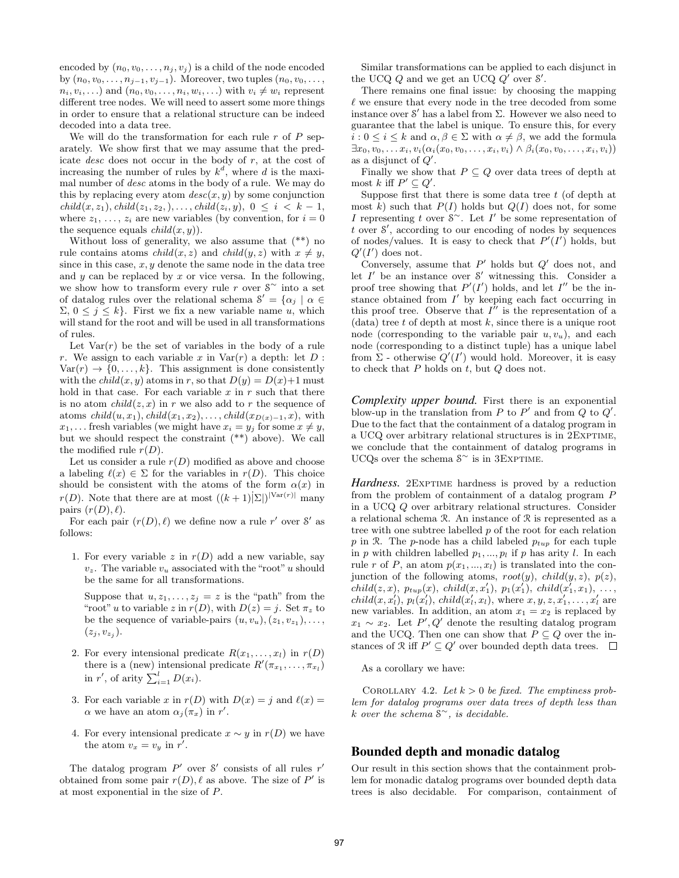encoded by  $(n_0, v_0, \ldots, n_j, v_j)$  is a child of the node encoded by  $(n_0, v_0, \ldots, n_{i-1}, v_{i-1})$ . Moreover, two tuples  $(n_0, v_0, \ldots, v_{i-1}, v_{i-1})$  $n_i, v_i, \ldots$ ) and  $(n_0, v_0, \ldots, n_i, w_i, \ldots)$  with  $v_i \neq w_i$  represent different tree nodes. We will need to assert some more things in order to ensure that a relational structure can be indeed decoded into a data tree.

We will do the transformation for each rule  $r$  of  $P$  separately. We show first that we may assume that the predicate desc does not occur in the body of r, at the cost of increasing the number of rules by  $k^d$ , where d is the maximal number of desc atoms in the body of a rule. We may do this by replacing every atom  $desc(x, y)$  by some conjunction  $child(x, z_1), child(z_1, z_2), \ldots, child(z_i, y), 0 \leq i \leq k-1,$ where  $z_1, \ldots, z_i$  are new variables (by convention, for  $i = 0$ the sequence equals  $child(x, y)$ .

Without loss of generality, we also assume that (\*\*) no rule contains atoms *child* $(x, z)$  and *child* $(y, z)$  with  $x \neq y$ , since in this case,  $x, y$  denote the same node in the data tree and  $y$  can be replaced by  $x$  or vice versa. In the following, we show how to transform every rule r over  $S^{\sim}$  into a set of datalog rules over the relational schema  $S' = {\alpha_j \mid \alpha \in \mathbb{R}^N}$  $Σ, 0 ≤ j ≤ k$ . First we fix a new variable name u, which will stand for the root and will be used in all transformations of rules.

Let  $Var(r)$  be the set of variables in the body of a rule r. We assign to each variable x in  $Var(r)$  a depth: let  $D$ :  $Var(r) \rightarrow \{0, \ldots, k\}$ . This assignment is done consistently with the *child* $(x, y)$  atoms in r, so that  $D(y) = D(x)+1$  must hold in that case. For each variable  $x$  in  $r$  such that there is no atom  $child(z, x)$  in r we also add to r the sequence of atoms  $child(u, x_1), child(x_1, x_2), \ldots, child(x_{D(x)-1}, x)$ , with  $x_1, \ldots$  fresh variables (we might have  $x_i = y_j$  for some  $x \neq y$ , but we should respect the constraint (\*\*) above). We call the modified rule  $r(D)$ .

Let us consider a rule  $r(D)$  modified as above and choose a labeling  $\ell(x) \in \Sigma$  for the variables in  $r(D)$ . This choice should be consistent with the atoms of the form  $\alpha(x)$  in  $r(D)$ . Note that there are at most  $((k+1)|\Sigma|)^{|Var(r)|}$  many pairs  $(r(D), \ell)$ .

For each pair  $(r(D), \ell)$  we define now a rule r' over S' as follows:

1. For every variable z in  $r(D)$  add a new variable, say  $v_z$ . The variable  $v_u$  associated with the "root" u should be the same for all transformations.

Suppose that  $u, z_1, \ldots, z_j = z$  is the "path" from the "root" u to variable z in  $r(D)$ , with  $D(z) = j$ . Set  $\pi_z$  to be the sequence of variable-pairs  $(u, v_u), (z_1, v_{z_1}), \ldots,$  $(z_j, v_{z_j}).$ 

- 2. For every intensional predicate  $R(x_1, \ldots, x_l)$  in  $r(D)$ there is a (new) intensional predicate  $R'(\pi_{x_1}, \ldots, \pi_{x_l})$ in r', of arity  $\sum_{i=1}^{l} D(x_i)$ .
- 3. For each variable x in  $r(D)$  with  $D(x) = i$  and  $\ell(x) =$  $\alpha$  we have an atom  $\alpha_j(\pi_x)$  in r'.
- 4. For every intensional predicate  $x \sim y$  in  $r(D)$  we have the atom  $v_x = v_y$  in r'.

The datalog program  $P'$  over  $S'$  consists of all rules  $r'$ obtained from some pair  $r(D)$ ,  $\ell$  as above. The size of P' is at most exponential in the size of P.

Similar transformations can be applied to each disjunct in the UCQ  $Q$  and we get an UCQ  $Q'$  over  $S'$ .

There remains one final issue: by choosing the mapping  $\ell$  we ensure that every node in the tree decoded from some instance over  $\mathcal{S}'$  has a label from  $\Sigma$ . However we also need to guarantee that the label is unique. To ensure this, for every  $i: 0 \leq i \leq k$  and  $\alpha, \beta \in \Sigma$  with  $\alpha \neq \beta$ , we add the formula  $\exists x_0, v_0, \ldots x_i, v_i(\alpha_i(x_0, v_0, \ldots, x_i, v_i) \wedge \beta_i(x_0, v_0, \ldots, x_i, v_i))$ as a disjunct of  $Q'$ .

Finally we show that  $P \subseteq Q$  over data trees of depth at most k iff  $P' \subseteq Q'$ .

Suppose first that there is some data tree  $t$  (of depth at most k) such that  $P(I)$  holds but  $Q(I)$  does not, for some I representing t over  $S^{\sim}$ . Let I' be some representation of  $t$  over  $\mathcal{S}'$ , according to our encoding of nodes by sequences of nodes/values. It is easy to check that  $P'(I')$  holds, but  $Q'(I')$  does not.

Conversely, assume that  $P'$  holds but  $Q'$  does not, and let  $I'$  be an instance over  $S'$  witnessing this. Consider a proof tree showing that  $P'(I')$  holds, and let  $I''$  be the instance obtained from  $I'$  by keeping each fact occurring in this proof tree. Observe that  $I''$  is the representation of a  $(data)$  tree t of depth at most k, since there is a unique root node (corresponding to the variable pair  $u, v_u$ ), and each node (corresponding to a distinct tuple) has a unique label from  $\Sigma$  - otherwise  $Q'(I')$  would hold. Moreover, it is easy to check that  $P$  holds on  $t$ , but  $Q$  does not.

*Complexity upper bound.* First there is an exponential blow-up in the translation from  $P$  to  $P'$  and from  $Q$  to  $Q'$ . Due to the fact that the containment of a datalog program in a UCQ over arbitrary relational structures is in 2EXPTIME, we conclude that the containment of datalog programs in UCQs over the schema  $S^{\sim}$  is in 3EXPTIME.

*Hardness.* 2EXPTIME hardness is proved by a reduction from the problem of containment of a datalog program P in a UCQ Q over arbitrary relational structures. Consider a relational schema R. An instance of R is represented as a tree with one subtree labelled  $p$  of the root for each relation p in R. The p-node has a child labeled  $p_{tup}$  for each tuple in p with children labelled  $p_1, ..., p_l$  if p has arity l. In each rule r of P, an atom  $p(x_1, ..., x_l)$  is translated into the conjunction of the following atoms,  $root(y)$ ,  $child(y, z)$ ,  $p(z)$ ,  $child(z, x), p_{tup}(x), child(x, x'_1), p_1(x'_1), child(x'_1, x_1), ...,$  $child(x, x'_{l}), p_{l}(x'_{l}), child(x'_{l}, x_{l}),$  where  $x, y, z, x'_{1}, \ldots, x'_{l}$  are new variables. In addition, an atom  $x_1 = x_2$  is replaced by  $x_1 \sim x_2$ . Let P', Q' denote the resulting datalog program and the UCQ. Then one can show that  $P \subseteq Q$  over the instances of  $\mathcal{R}$  iff  $P' \subseteq Q'$  over bounded depth data trees.

As a corollary we have:

COROLLARY 4.2. Let  $k > 0$  be fixed. The emptiness problem for datalog programs over data trees of depth less than k over the schema  $S^{\sim}$ , is decidable.

# Bounded depth and monadic datalog

Our result in this section shows that the containment problem for monadic datalog programs over bounded depth data trees is also decidable. For comparison, containment of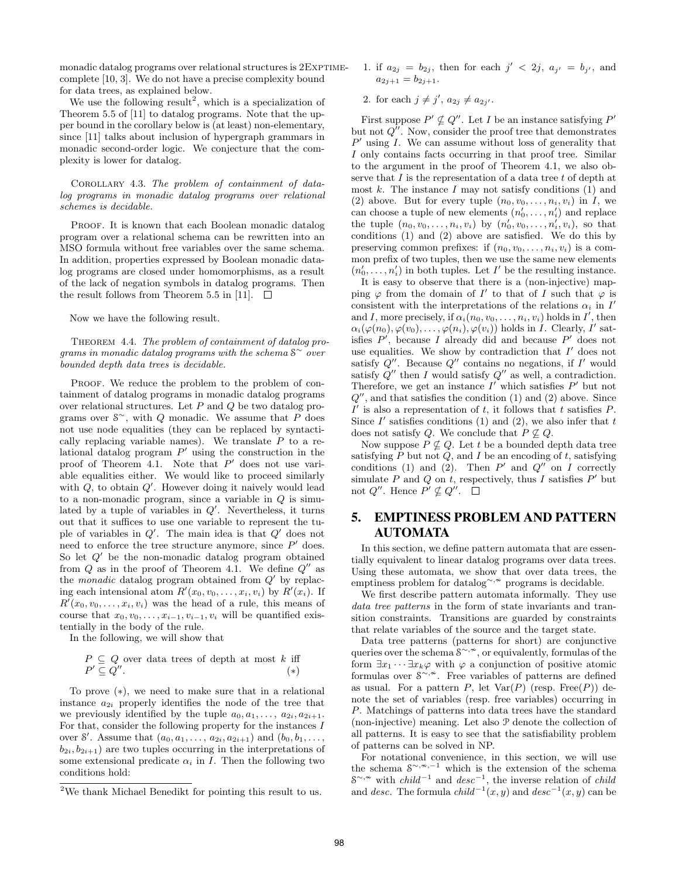monadic datalog programs over relational structures is  $2 \text{ExPTIME}$ complete [10, 3]. We do not have a precise complexity bound for data trees, as explained below.

We use the following result<sup>2</sup>, which is a specialization of Theorem 5.5 of [11] to datalog programs. Note that the upper bound in the corollary below is (at least) non-elementary, since [11] talks about inclusion of hypergraph grammars in monadic second-order logic. We conjecture that the complexity is lower for datalog.

Corollary 4.3. The problem of containment of datalog programs in monadic datalog programs over relational schemes is decidable.

PROOF. It is known that each Boolean monadic datalog program over a relational schema can be rewritten into an MSO formula without free variables over the same schema. In addition, properties expressed by Boolean monadic datalog programs are closed under homomorphisms, as a result of the lack of negation symbols in datalog programs. Then the result follows from Theorem 5.5 in [11].  $\Box$ 

Now we have the following result.

THEOREM 4.4. The problem of containment of datalog programs in monadic datalog programs with the schema  $S^{\sim}$  over bounded depth data trees is decidable.

PROOF. We reduce the problem to the problem of containment of datalog programs in monadic datalog programs over relational structures. Let P and Q be two datalog programs over  $S^{\sim}$ , with Q monadic. We assume that P does not use node equalities (they can be replaced by syntactically replacing variable names). We translate  $P$  to a relational datalog program  $P'$  using the construction in the proof of Theorem 4.1. Note that  $P'$  does not use variable equalities either. We would like to proceed similarly with  $Q$ , to obtain  $Q'$ . However doing it naively would lead to a non-monadic program, since a variable in  $Q$  is simulated by a tuple of variables in  $Q'$ . Nevertheless, it turns out that it suffices to use one variable to represent the tuple of variables in  $Q'$ . The main idea is that  $Q'$  does not need to enforce the tree structure anymore, since  $P'$  does. So let  $Q'$  be the non-monadic datalog program obtained from  $Q$  as in the proof of Theorem 4.1. We define  $Q''$  as the *monadic* datalog program obtained from  $Q'$  by replacing each intensional atom  $R'(x_0, v_0, \ldots, x_i, v_i)$  by  $R'(x_i)$ . If  $R'(x_0, v_0, \ldots, x_i, v_i)$  was the head of a rule, this means of course that  $x_0, v_0, \ldots, x_{i-1}, v_{i-1}, v_i$  will be quantified existentially in the body of the rule.

In the following, we will show that

$$
P \subseteq Q \text{ over data trees of depth at most } k \text{ iff}
$$
  

$$
P' \subseteq Q''.
$$
 (\*)

To prove (∗), we need to make sure that in a relational instance  $a_{2i}$  properly identifies the node of the tree that we previously identified by the tuple  $a_0, a_1, \ldots, a_{2i}, a_{2i+1}.$ For that, consider the following property for the instances  $I$ over S'. Assume that  $(a_0, a_1, \ldots, a_{2i}, a_{2i+1})$  and  $(b_0, b_1, \ldots, b_{2i})$  $b_{2i}, b_{2i+1}$  are two tuples occurring in the interpretations of some extensional predicate  $\alpha_i$  in I. Then the following two conditions hold:

- 1. if  $a_{2j} = b_{2j}$ , then for each  $j' < 2j$ ,  $a_{j'} = b_{j'}$ , and  $a_{2j+1} = b_{2j+1}.$
- 2. for each  $j \neq j'$ ,  $a_{2j} \neq a_{2j'}$ .

First suppose  $P' \nsubseteq Q''$ . Let I be an instance satisfying  $P'$ but not  $Q''$ . Now, consider the proof tree that demonstrates  $P'$  using I. We can assume without loss of generality that I only contains facts occurring in that proof tree. Similar to the argument in the proof of Theorem 4.1, we also observe that  $I$  is the representation of a data tree  $t$  of depth at most  $k$ . The instance  $I$  may not satisfy conditions  $(1)$  and (2) above. But for every tuple  $(n_0, v_0, \ldots, n_i, v_i)$  in I, we can choose a tuple of new elements  $(n'_0, \ldots, n'_i)$  and replace the tuple  $(n_0, v_0, \ldots, n_i, v_i)$  by  $(n'_0, v_0, \ldots, n'_i, v_i)$ , so that conditions (1) and (2) above are satisfied. We do this by preserving common prefixes: if  $(n_0, v_0, \ldots, n_i, v_i)$  is a common prefix of two tuples, then we use the same new elements  $(n'_0, \ldots, n'_i)$  in both tuples. Let I' be the resulting instance.

It is easy to observe that there is a (non-injective) mapping  $\varphi$  from the domain of I' to that of I such that  $\varphi$  is consistent with the interpretations of the relations  $\alpha_i$  in  $I'$ and I, more precisely, if  $\alpha_i(n_0, v_0, \ldots, n_i, v_i)$  holds in I', then  $\alpha_i(\varphi(n_0), \varphi(v_0), \ldots, \varphi(n_i), \varphi(v_i))$  holds in *I*. Clearly, *I'* satisfies  $P'$ , because I already did and because  $P'$  does not use equalities. We show by contradiction that  $I'$  does not satisfy  $Q''$ . Because  $Q''$  contains no negations, if  $I'$  would satisfy  $Q''$  then I would satisfy  $Q''$  as well, a contradiction. Therefore, we get an instance  $I'$  which satisfies  $P'$  but not  $Q''$ , and that satisfies the condition  $(1)$  and  $(2)$  above. Since  $I'$  is also a representation of t, it follows that t satisfies P. Since  $I'$  satisfies conditions (1) and (2), we also infer that  $t$ does not satisfy Q. We conclude that  $P \nsubseteq Q$ .

Now suppose  $P \nsubseteq Q$ . Let t be a bounded depth data tree satisfying  $P$  but not  $Q$ , and  $I$  be an encoding of  $t$ , satisfying conditions (1) and (2). Then  $P'$  and  $Q''$  on I correctly simulate  $P$  and  $Q$  on  $t$ , respectively, thus  $I$  satisfies  $P'$  but not  $Q''$ . Hence  $P' \nsubseteq Q''$ .

# 5. EMPTINESS PROBLEM AND PATTERN AUTOMATA

In this section, we define pattern automata that are essentially equivalent to linear datalog programs over data trees. Using these automata, we show that over data trees, the emptiness problem for datalog<sup>∼, ≈</sup> programs is decidable.

We first describe pattern automata informally. They use data tree patterns in the form of state invariants and transition constraints. Transitions are guarded by constraints that relate variables of the source and the target state.

Data tree patterns (patterns for short) are conjunctive queries over the schema  $\hat{\mathcal{S}}^{\sim, \sim}$ , or equivalently, formulas of the form  $\exists x_1 \cdots \exists x_k \varphi$  with  $\varphi$  a conjunction of positive atomic formulas over  $\overline{s}^{\sim, \infty}$ . Free variables of patterns are defined as usual. For a pattern P, let  $Var(P)$  (resp. Free(P)) denote the set of variables (resp. free variables) occurring in P. Matchings of patterns into data trees have the standard (non-injective) meaning. Let also P denote the collection of all patterns. It is easy to see that the satisfiability problem of patterns can be solved in NP.

For notational convenience, in this section, we will use the schema  $S^{\sim, \sim, -1}$  which is the extension of the schema  $S^{\sim, \infty}$  with *child*<sup>-1</sup> and *desc*<sup>-1</sup>, the inverse relation of *child* and desc. The formula  $child^{-1}(x, y)$  and  $desc^{-1}(x, y)$  can be

<sup>2</sup>We thank Michael Benedikt for pointing this result to us.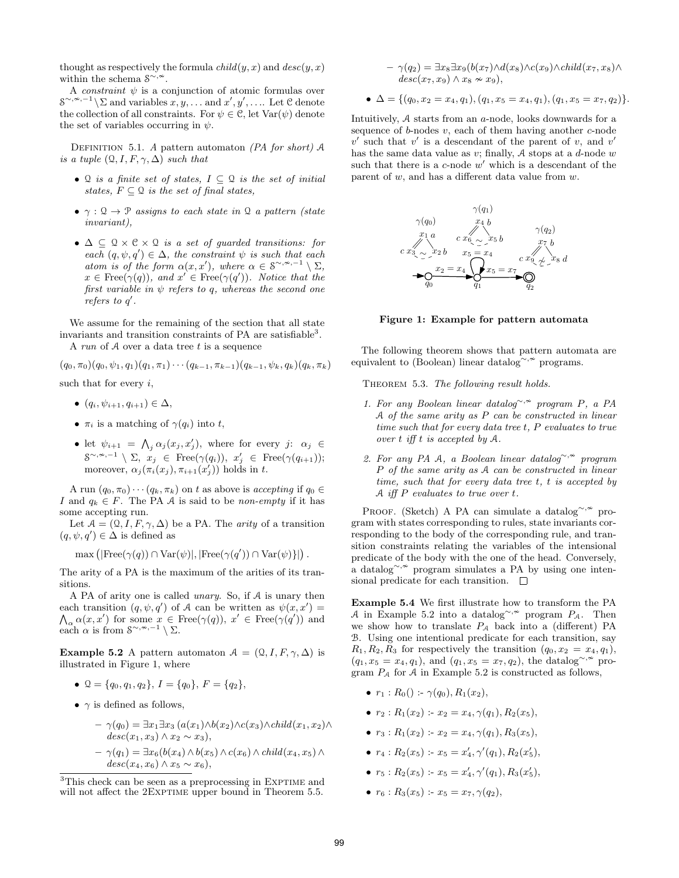thought as respectively the formula  $child(y, x)$  and  $desc(y, x)$ within the schema  $S^{\sim, \n\infty}$ .

A *constraint*  $\psi$  is a conjunction of atomic formulas over  $S^{\sim,\sim,-1}\backslash\Sigma$  and variables  $x,y,\ldots$  and  $x',y',\ldots$  Let C denote the collection of all constraints. For  $\psi \in \mathcal{C}$ , let  $\text{Var}(\psi)$  denote the set of variables occurring in  $\psi$ .

DEFINITION 5.1. A pattern automaton (PA for short)  $A$ is a tuple  $(Q, I, F, \gamma, \Delta)$  such that

- Q is a finite set of states,  $I \subseteq \mathcal{Q}$  is the set of initial states,  $F \subseteq \mathcal{Q}$  is the set of final states,
- $\gamma : \mathcal{Q} \to \mathcal{P}$  assigns to each state in  $\mathcal{Q}$  a pattern (state invariant),
- $\Delta \subseteq \mathcal{Q} \times \mathcal{C} \times \mathcal{Q}$  is a set of quarded transitions: for each  $(q, \psi, q') \in \Delta$ , the constraint  $\psi$  is such that each atom is of the form  $\alpha(x, x')$ , where  $\alpha \in \mathcal{S}^{\sim, \sim, -1} \setminus \Sigma$ ,  $x \in \text{Free}(\gamma(q)),$  and  $x' \in \text{Free}(\gamma(q')).$  Notice that the first variable in  $\psi$  refers to q, whereas the second one refers to  $q'$ .

We assume for the remaining of the section that all state invariants and transition constraints of PA are satisfiable<sup>3</sup>. A run of  $A$  over a data tree  $t$  is a sequence

 $(q_0, \pi_0)(q_0, \psi_1, q_1)(q_1, \pi_1)\cdots(q_{k-1}, \pi_{k-1})(q_{k-1}, \psi_k, q_k)(q_k, \pi_k)$ such that for every  $i$ ,

- $(q_i, \psi_{i+1}, q_{i+1}) \in \Delta$ ,
- $\pi_i$  is a matching of  $\gamma(q_i)$  into t,
- let  $\psi_{i+1} = \bigwedge_j \alpha_j(x_j, x'_j)$ , where for every  $j: \alpha_j \in$  $S^{\sim,\sim,-1}\setminus\Sigma, \; x_j \; \in \; \text{Free}(\gamma(q_i)), \; x'_j \; \in \; \text{Free}(\gamma(q_{i+1}));$ moreover,  $\alpha_j(\pi_i(x_j), \pi_{i+1}(x_j'))$  holds in t.

A run  $(q_0, \pi_0) \cdots (q_k, \pi_k)$  on t as above is *accepting* if  $q_0 \in$ I and  $q_k \in F$ . The PA A is said to be non-empty if it has some accepting run.

Let  $A = (Q, I, F, \gamma, \Delta)$  be a PA. The *arity* of a transition  $(q, \psi, q') \in \Delta$  is defined as

$$
\max\left(|\text{Free}(\gamma(q)) \cap \text{Var}(\psi)|, |\text{Free}(\gamma(q')) \cap \text{Var}(\psi)\}\right).
$$

The arity of a PA is the maximum of the arities of its transitions.

A PA of arity one is called unary. So, if A is unary then each transition  $(q, \psi, q')$  of A can be written as  $\psi(x, x') =$  $\bigwedge_{\alpha} \alpha(x, x')$  for some  $x \in \text{Free}(\gamma(q)), x' \in \text{Free}(\gamma(q'))$  and each  $\alpha$  is from  $S^{\sim, \infty, -1} \setminus \Sigma$ .

**Example 5.2** A pattern automaton  $A = (Q, I, F, \gamma, \Delta)$  is illustrated in Figure 1, where

- $\mathcal{Q} = \{q_0, q_1, q_2\}, I = \{q_0\}, F = \{q_2\},\$
- $\gamma$  is defined as follows,

$$
- \gamma(q_0) = \exists x_1 \exists x_3 (a(x_1) \land b(x_2) \land c(x_3) \land child(x_1, x_2) \land
$$
  
\n
$$
desc(x_1, x_3) \land x_2 \sim x_3),
$$
  
\n
$$
- \gamma(q_1) = \exists x_6 (b(x_4) \land b(x_5) \land c(x_6) \land child(x_4, x_5) \land
$$
  
\n
$$
desc(x_4, x_6) \land x_5 \sim x_6),
$$

$$
-\gamma(q_2) = \exists x_8 \exists x_9 (b(x_7) \land d(x_8) \land c(x_9) \land child(x_7, x_8) \land
$$
  

$$
desc(x_7, x_9) \land x_8 \sim x_9),
$$

• 
$$
\Delta = \{(q_0, x_2 = x_4, q_1), (q_1, x_5 = x_4, q_1), (q_1, x_5 = x_7, q_2)\}.
$$

Intuitively, A starts from an a-node, looks downwards for a sequence of  $b$ -nodes  $v$ , each of them having another  $c$ -node  $v'$  such that  $v'$  is a descendant of the parent of v, and v' has the same data value as  $v$ ; finally,  $A$  stops at a  $d$ -node  $w$ such that there is a  $c$ -node  $w'$  which is a descendant of the parent of  $w$ , and has a different data value from  $w$ .



Figure 1: Example for pattern automata

The following theorem shows that pattern automata are equivalent to (Boolean) linear datalog∼, $\sim$  programs.

THEOREM 5.3. The following result holds.

- 1. For any Boolean linear datalog∼,<sup>≁</sup> program P, a PA A of the same arity as P can be constructed in linear time such that for every data tree t, P evaluates to true over  $t$  iff  $t$  is accepted by  $A$ .
- 2. For any PA A, a Boolean linear datalog<sup>∼, $\approx$ </sup> program P of the same arity as A can be constructed in linear time, such that for every data tree t, t is accepted by A iff  $P$  evaluates to true over  $t$ .

Proof. (Sketch) A PA can simulate a datalog<sup>∼, ≈</sup> program with states corresponding to rules, state invariants corresponding to the body of the corresponding rule, and transition constraints relating the variables of the intensional predicate of the body with the one of the head. Conversely, a datalog<sup>∼,  $\sim$ </sup> program simulates a PA by using one intensional predicate for each transition.  $\Box$ 

Example 5.4 We first illustrate how to transform the PA A in Example 5.2 into a datalog<sup>∼, $\approx$ </sup> program  $P_A$ . Then we show how to translate  $P_A$  back into a (different) PA B. Using one intentional predicate for each transition, say  $R_1, R_2, R_3$  for respectively the transition  $(q_0, x_2 = x_4, q_1)$ ,  $(q_1, x_5 = x_4, q_1)$ , and  $(q_1, x_5 = x_7, q_2)$ , the datalog<sup>∼, $\sim$ </sup> program  $P_A$  for A in Example 5.2 is constructed as follows,

- $r_1 : R_0() : \gamma(q_0), R_1(x_2),$
- $r_2 : R_1(x_2) : x_2 = x_4, \gamma(q_1), R_2(x_5)$
- $r_3: R_1(x_2): x_2 = x_4, \gamma(q_1), R_3(x_5),$
- $r_4: R_2(x_5) x_5 = x'_4, \gamma'(q_1), R_2(x'_5),$
- $r_5: R_2(x_5) : x_5 = x'_4, \gamma'(q_1), R_3(x'_5),$
- $r_6 : R_3(x_5) : x_5 = x_7, \gamma(q_2),$

 $3$ This check can be seen as a preprocessing in EXPTIME and will not affect the 2EXPTIME upper bound in Theorem 5.5.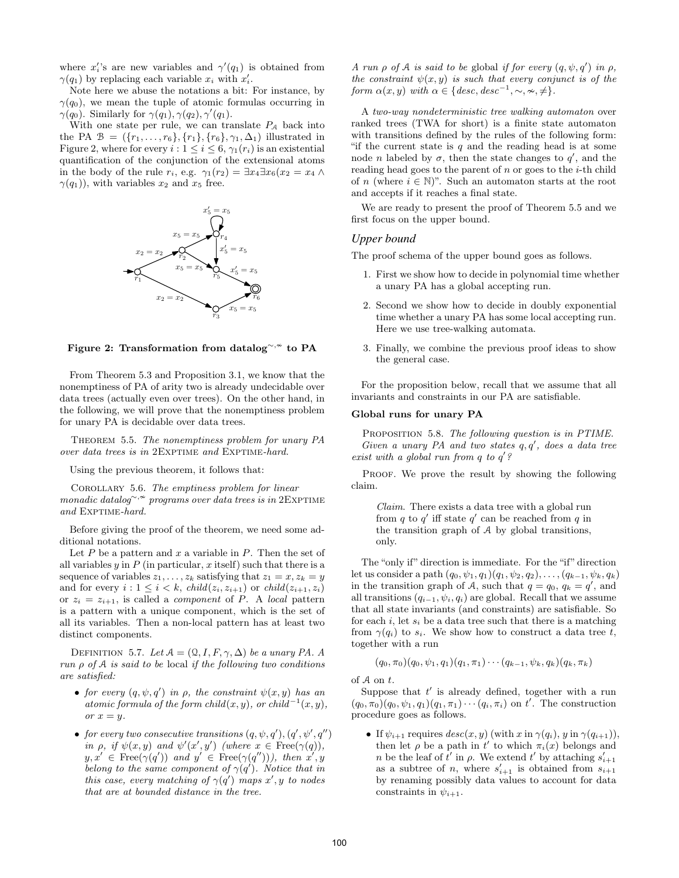where  $x_i$ 's are new variables and  $\gamma'(q_1)$  is obtained from  $\gamma(q_1)$  by replacing each variable  $x_i$  with  $x'_i$ .

Note here we abuse the notations a bit: For instance, by  $\gamma(q_0)$ , we mean the tuple of atomic formulas occurring in  $\gamma(q_0)$ . Similarly for  $\gamma(q_1), \gamma(q_2), \gamma'(q_1)$ .

With one state per rule, we can translate  $P_A$  back into the PA  $\mathcal{B} = (\{r_1, \ldots, r_6\}, \{r_1\}, \{r_6\}, \gamma_1, \Delta_1)$  illustrated in Figure 2, where for every  $i: 1 \leq i \leq 6$ ,  $\gamma_1(r_i)$  is an existential quantification of the conjunction of the extensional atoms in the body of the rule  $r_i$ , e.g.  $\gamma_1(r_2) = \exists x_4 \exists x_6(x_2 = x_4 \land$  $\gamma(q_1)$ ), with variables  $x_2$  and  $x_5$  free.



Figure 2: Transformation from datalog<sup>∼, ≁</sup> to PA

From Theorem 5.3 and Proposition 3.1, we know that the nonemptiness of PA of arity two is already undecidable over data trees (actually even over trees). On the other hand, in the following, we will prove that the nonemptiness problem for unary PA is decidable over data trees.

THEOREM 5.5. The nonemptiness problem for unary PA over data trees is in 2EXPTIME and EXPTIME-hard.

Using the previous theorem, it follows that:

COROLLARY 5.6. The emptiness problem for linear monadic datalog~, $*$  programs over data trees is in 2EXPTIME and EXPTIME-hard.

Before giving the proof of the theorem, we need some additional notations.

Let  $P$  be a pattern and  $x$  a variable in  $P$ . Then the set of all variables  $y$  in  $P$  (in particular, x itself) such that there is a sequence of variables  $z_1, \ldots, z_k$  satisfying that  $z_1 = x, z_k = y$ and for every  $i: 1 \leq i \leq k$ ,  $child(z_i, z_{i+1})$  or  $child(z_{i+1}, z_i)$ or  $z_i = z_{i+1}$ , is called a *component* of P. A *local* pattern is a pattern with a unique component, which is the set of all its variables. Then a non-local pattern has at least two distinct components.

DEFINITION 5.7. Let  $A = (Q, I, F, \gamma, \Delta)$  be a unary PA. A run  $\rho$  of  $A$  is said to be local if the following two conditions are satisfied:

- for every  $(q, \psi, q')$  in  $\rho$ , the constraint  $\psi(x, y)$  has an atomic formula of the form child $(x, y)$ , or child<sup>-1</sup> $(x, y)$ , or  $x = y$ .
- for every two consecutive transitions  $(q, \psi, q'), (q', \psi', q'')$ in  $\rho$ , if  $\psi(x, y)$  and  $\psi'(x', y')$  (where  $x \in \text{Free}(\gamma(q)),$  $y, x' \in \text{Free}(\gamma(q'))$  and  $y' \in \text{Free}(\gamma(q''))$ , then  $x', y$ belong to the same component of  $\gamma(q')$ . Notice that in this case, every matching of  $\gamma(q')$  maps x', y to nodes that are at bounded distance in the tree.

A run  $\rho$  of A is said to be global if for every  $(q, \psi, q')$  in  $\rho$ , the constraint  $\psi(x, y)$  is such that every conjunct is of the form  $\alpha(x, y)$  with  $\alpha \in \{ desc, desc^{-1}, \sim, \sim, \neq \}.$ 

A two-way nondeterministic tree walking automaton over ranked trees (TWA for short) is a finite state automaton with transitions defined by the rules of the following form: "if the current state is  $q$  and the reading head is at some node *n* labeled by  $\sigma$ , then the state changes to  $q'$ , and the reading head goes to the parent of  $n$  or goes to the  $i$ -th child of n (where  $i \in \mathbb{N}$ )". Such an automaton starts at the root and accepts if it reaches a final state.

We are ready to present the proof of Theorem 5.5 and we first focus on the upper bound.

# *Upper bound*

The proof schema of the upper bound goes as follows.

- 1. First we show how to decide in polynomial time whether a unary PA has a global accepting run.
- 2. Second we show how to decide in doubly exponential time whether a unary PA has some local accepting run. Here we use tree-walking automata.
- 3. Finally, we combine the previous proof ideas to show the general case.

For the proposition below, recall that we assume that all invariants and constraints in our PA are satisfiable.

#### Global runs for unary PA

PROPOSITION 5.8. The following question is in PTIME. Given a unary PA and two states  $q, q'$ , does a data tree exist with a global run from  $q$  to  $q'$ ?

PROOF. We prove the result by showing the following claim.

 $Claim.$  There exists a data tree with a global run from q to  $q'$  iff state  $q'$  can be reached from q in the transition graph of A by global transitions, only.

The "only if" direction is immediate. For the "if" direction let us consider a path  $(q_0, \psi_1, q_1)(q_1, \psi_2, q_2), \ldots, (q_{k-1}, \psi_k, q_k)$ in the transition graph of A, such that  $q = q_0, q_k = q'$ , and all transitions  $(q_{i-1}, \psi_i, q_i)$  are global. Recall that we assume that all state invariants (and constraints) are satisfiable. So for each i, let  $s_i$  be a data tree such that there is a matching from  $\gamma(q_i)$  to  $s_i$ . We show how to construct a data tree t, together with a run

$$
(q_0, \pi_0)(q_0, \psi_1, q_1)(q_1, \pi_1) \cdots (q_{k-1}, \psi_k, q_k)(q_k, \pi_k)
$$

of A on t.

Suppose that  $t'$  is already defined, together with a run  $(q_0, \pi_0)(q_0, \psi_1, q_1)(q_1, \pi_1) \cdots (q_i, \pi_i)$  on  $t'$ . The construction procedure goes as follows.

• If  $\psi_{i+1}$  requires  $desc(x, y)$  (with x in  $\gamma(q_i)$ , y in  $\gamma(q_{i+1})$ ), then let  $\rho$  be a path in t' to which  $\pi_i(x)$  belongs and n be the leaf of  $t'$  in  $\rho$ . We extend  $t'$  by attaching  $s'_{i+1}$ as a subtree of n, where  $s'_{i+1}$  is obtained from  $s_{i+1}$ by renaming possibly data values to account for data constraints in  $\psi_{i+1}$ .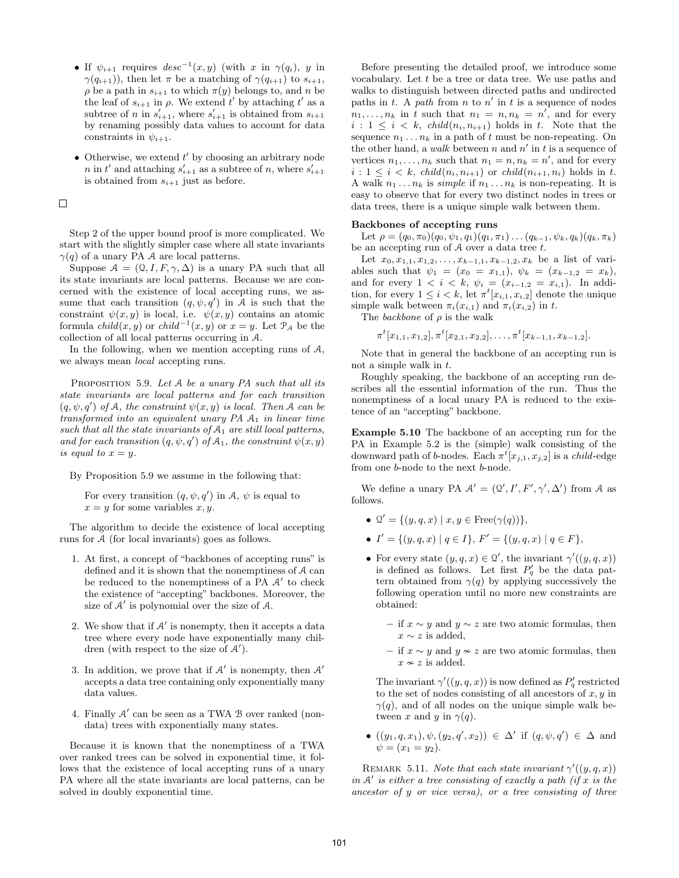- If  $\psi_{i+1}$  requires  $desc^{-1}(x, y)$  (with x in  $\gamma(q_i)$ , y in  $\gamma(q_{i+1})$ ), then let  $\pi$  be a matching of  $\gamma(q_{i+1})$  to  $s_{i+1}$ ,  $\rho$  be a path in  $s_{i+1}$  to which  $\pi(y)$  belongs to, and n be the leaf of  $s_{i+1}$  in  $\rho$ . We extend t' by attaching t' as a subtree of n in  $s'_{i+1}$ , where  $s'_{i+1}$  is obtained from  $s_{i+1}$ by renaming possibly data values to account for data constraints in  $\psi_{i+1}$ .
- Otherwise, we extend  $t'$  by choosing an arbitrary node n in t' and attaching  $s'_{i+1}$  as a subtree of n, where  $s'_{i+1}$ is obtained from  $s_{i+1}$  just as before.

 $\Box$ 

Step 2 of the upper bound proof is more complicated. We start with the slightly simpler case where all state invariants  $\gamma(q)$  of a unary PA A are local patterns.

Suppose  $A = (Q, I, F, \gamma, \Delta)$  is a unary PA such that all its state invariants are local patterns. Because we are concerned with the existence of local accepting runs, we assume that each transition  $(q, \psi, q')$  in A is such that the constraint  $\psi(x, y)$  is local, i.e.  $\psi(x, y)$  contains an atomic formula *child* $(x, y)$  or *child*<sup>-1</sup> $(x, y)$  or  $x = y$ . Let  $\mathcal{P}_{\mathcal{A}}$  be the collection of all local patterns occurring in A.

In the following, when we mention accepting runs of  $A$ , we always mean local accepting runs.

PROPOSITION 5.9. Let A be a unary PA such that all its state invariants are local patterns and for each transition  $(q, \psi, q')$  of A, the constraint  $\psi(x, y)$  is local. Then A can be transformed into an equivalent unary  $PA$   $A_1$  in linear time such that all the state invariants of  $A_1$  are still local patterns, and for each transition  $(q, \psi, q')$  of  $\mathcal{A}_1$ , the constraint  $\psi(x, y)$ is equal to  $x = y$ .

By Proposition 5.9 we assume in the following that:

For every transition  $(q, \psi, q')$  in A,  $\psi$  is equal to  $x = y$  for some variables  $x, y$ .

The algorithm to decide the existence of local accepting runs for A (for local invariants) goes as follows.

- 1. At first, a concept of "backbones of accepting runs" is defined and it is shown that the nonemptiness of A can be reduced to the nonemptiness of a  $\overline{PA}$  A' to check the existence of "accepting" backbones. Moreover, the size of  $A'$  is polynomial over the size of  $A$ .
- 2. We show that if  $A'$  is nonempty, then it accepts a data tree where every node have exponentially many children (with respect to the size of  $A'$ ).
- 3. In addition, we prove that if  $A'$  is nonempty, then  $A'$ accepts a data tree containing only exponentially many data values.
- 4. Finally  $A'$  can be seen as a TWA  $B$  over ranked (nondata) trees with exponentially many states.

Because it is known that the nonemptiness of a TWA over ranked trees can be solved in exponential time, it follows that the existence of local accepting runs of a unary PA where all the state invariants are local patterns, can be solved in doubly exponential time.

Before presenting the detailed proof, we introduce some vocabulary. Let  $t$  be a tree or data tree. We use paths and walks to distinguish between directed paths and undirected paths in t. A path from n to n' in t is a sequence of nodes  $n_1, \ldots, n_k$  in t such that  $n_1 = n, n_k = n'$ , and for every  $i: 1 \leq i \leq k$ ,  $child(n_i, n_{i+1})$  holds in t. Note that the sequence  $n_1 \ldots n_k$  in a path of t must be non-repeating. On the other hand, a walk between n and  $n'$  in t is a sequence of vertices  $n_1, \ldots, n_k$  such that  $n_1 = n, n_k = n'$ , and for every  $i: 1 \leq i \leq k$ ,  $child(n_i, n_{i+1})$  or  $child(n_{i+1}, n_i)$  holds in t. A walk  $n_1 \ldots n_k$  is *simple* if  $n_1 \ldots n_k$  is non-repeating. It is easy to observe that for every two distinct nodes in trees or data trees, there is a unique simple walk between them.

#### Backbones of accepting runs

Let  $\rho = (q_0, \pi_0)(q_0, \psi_1, q_1)(q_1, \pi_1) \dots (q_{k-1}, \psi_k, q_k)(q_k, \pi_k)$ be an accepting run of  $A$  over a data tree  $t$ .

Let  $x_0, x_{1,1}, x_{1,2}, \ldots, x_{k-1,1}, x_{k-1,2}, x_k$  be a list of variables such that  $\psi_1 = (x_0 = x_{1,1}), \psi_k = (x_{k-1,2} = x_k),$ and for every  $1 < i < k$ ,  $\psi_i = (x_{i-1,2} = x_{i,1})$ . In addition, for every  $1 \leq i < k$ , let  $\pi^t[x_{i,1}, x_{i,2}]$  denote the unique simple walk between  $\pi_i(x_{i,1})$  and  $\pi_i(x_{i,2})$  in t.

The backbone of  $\rho$  is the walk

$$
\pi^{t}[x_{1,1}, x_{1,2}], \pi^{t}[x_{2,1}, x_{2,2}], \ldots, \pi^{t}[x_{k-1,1}, x_{k-1,2}].
$$

Note that in general the backbone of an accepting run is not a simple walk in t.

Roughly speaking, the backbone of an accepting run describes all the essential information of the run. Thus the nonemptiness of a local unary PA is reduced to the existence of an "accepting" backbone.

Example 5.10 The backbone of an accepting run for the PA in Example 5.2 is the (simple) walk consisting of the downward path of b-nodes. Each  $\pi^t[x_{j,1}, x_{j,2}]$  is a *child*-edge from one b-node to the next b-node.

We define a unary PA  $\mathcal{A}' = (\mathcal{Q}', I', F', \gamma', \Delta')$  from A as follows.

- $\mathcal{Q}' = \{(y, q, x) \mid x, y \in \text{Free}(\gamma(q))\},\$
- $I' = \{(y, q, x) \mid q \in I\}, F' = \{(y, q, x) \mid q \in F\},\$
- For every state  $(y, q, x) \in \Omega'$ , the invariant  $\gamma'((y, q, x))$ is defined as follows. Let first  $P'_q$  be the data pattern obtained from  $\gamma(q)$  by applying successively the following operation until no more new constraints are obtained:
	- if  $x \sim y$  and  $y \sim z$  are two atomic formulas, then  $x \sim z$  is added,
	- if  $x \sim y$  and  $y \approx z$  are two atomic formulas, then  $x \nsim z$  is added.

The invariant  $\gamma'((y,q,x))$  is now defined as  $P'_q$  restricted to the set of nodes consisting of all ancestors of  $x, y$  in  $\gamma(q)$ , and of all nodes on the unique simple walk between x and y in  $\gamma(q)$ .

•  $((y_1, q, x_1), \psi, (y_2, q', x_2)) \in \Delta'$  if  $(q, \psi, q') \in \Delta$  and  $\psi = (x_1 = y_2).$ 

REMARK 5.11. Note that each state invariant  $\gamma'((y,q,x))$ in  $A'$  is either a tree consisting of exactly a path (if x is the ancestor of y or vice versa), or a tree consisting of three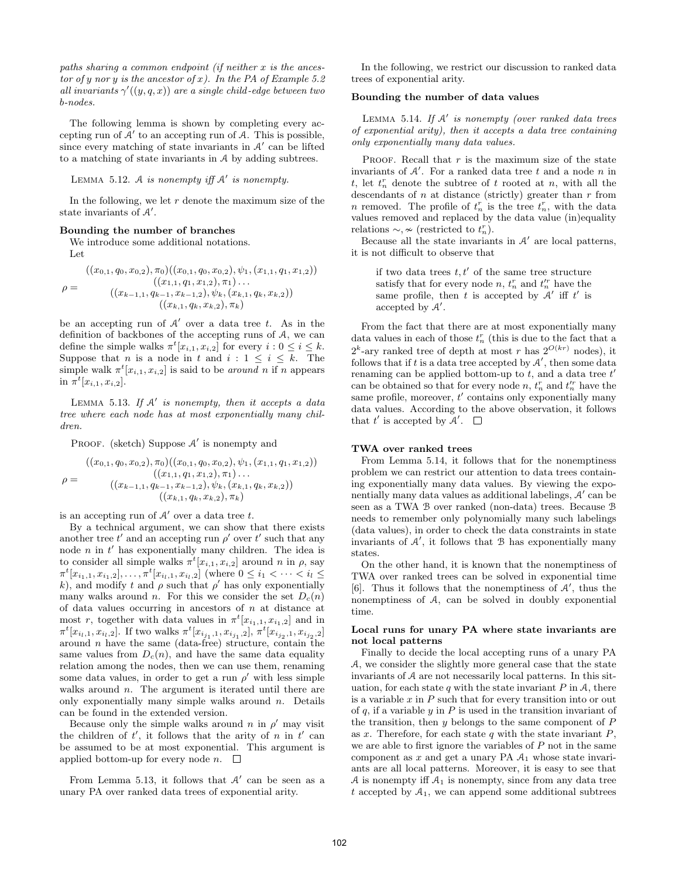paths sharing a common endpoint (if neither  $x$  is the ancestor of y nor y is the ancestor of x). In the PA of Example 5.2 all invariants  $\gamma'((y,q,x))$  are a single child-edge between two b-nodes.

The following lemma is shown by completing every accepting run of  $A'$  to an accepting run of  $A$ . This is possible, since every matching of state invariants in  $A'$  can be lifted to a matching of state invariants in A by adding subtrees.

LEMMA 5.12. A is nonempty iff  $A'$  is nonempty.

In the following, we let  $r$  denote the maximum size of the state invariants of  $A'$ .

### Bounding the number of branches

We introduce some additional notations. Let

$$
\rho = \frac{((x_{0,1}, q_0, x_{0,2}), \pi_0)((x_{0,1}, q_0, x_{0,2}), \psi_1, (x_{1,1}, q_1, x_{1,2}))}{((x_{1,1}, q_1, x_{1,2}), \pi_1) \dots} \n\left((x_{k-1,1}, q_{k-1}, x_{k-1,2}), \psi_k, (x_{k,1}, q_k, x_{k,2})\right) \n\left((x_{k,1}, q_k, x_{k,2}), \pi_k\right)
$$

be an accepting run of  $A'$  over a data tree t. As in the definition of backbones of the accepting runs of A, we can define the simple walks  $\pi^t[x_{i,1}, x_{i,2}]$  for every  $i: 0 \leq i \leq k$ . Suppose that *n* is a node in *t* and  $i : 1 \leq i \leq k$ . The simple walk  $\pi^t[x_{i,1}, x_{i,2}]$  is said to be *around* n if n appears in  $\pi^t[x_{i,1}, x_{i,2}].$ 

LEMMA 5.13. If  $A'$  is nonempty, then it accepts a data tree where each node has at most exponentially many children.

PROOF. (sketch) Suppose  $A'$  is nonempty and

$$
\rho = \frac{((x_{0,1}, q_0, x_{0,2}), \pi_0)((x_{0,1}, q_0, x_{0,2}), \psi_1, (x_{1,1}, q_1, x_{1,2}))}{((x_{1,1}, q_1, x_{1,2}), \pi_1) \dots} ( (x_{k-1,1}, q_{k-1}, x_{k-1,2}), \psi_k, (x_{k,1}, q_k, x_{k,2})) ((x_{k,1}, q_k, x_{k,2}), \pi_k)
$$

is an accepting run of  $A'$  over a data tree t.

By a technical argument, we can show that there exists another tree t' and an accepting run  $\rho'$  over t' such that any node  $n$  in  $t'$  has exponentially many children. The idea is to consider all simple walks  $\pi^t[x_{i,1}, x_{i,2}]$  around n in  $\rho$ , say  $\pi^t[x_{i_1,1}, x_{i_1,2}], \ldots, \pi^t[x_{i_l,1}, x_{i_l,2}]$  (where  $0 \leq i_1 < \cdots < i_l \leq$ k), and modify t and  $\rho$  such that  $\rho'$  has only exponentially many walks around n. For this we consider the set  $D_c(n)$ of data values occurring in ancestors of  $n$  at distance at most r, together with data values in  $\pi^t[x_{i_1,1}, x_{i_1,2}]$  and in  $\pi^t[x_{i_1,1}, x_{i_l,2}]$ . If two walks  $\pi^t[x_{i_{j_1},1}, x_{i_{j_1},2}]$ ,  $\pi^t[x_{i_{j_2},1}, x_{i_{j_2},2}]$ around n have the same (data-free) structure, contain the same values from  $D_c(n)$ , and have the same data equality relation among the nodes, then we can use them, renaming some data values, in order to get a run  $\rho'$  with less simple walks around  $n$ . The argument is iterated until there are only exponentially many simple walks around  $n$ . Details can be found in the extended version.

Because only the simple walks around n in  $\rho'$  may visit the children of  $t'$ , it follows that the arity of n in  $t'$  can be assumed to be at most exponential. This argument is applied bottom-up for every node  $n.$   $\Box$ 

From Lemma 5.13, it follows that  $A'$  can be seen as a unary PA over ranked data trees of exponential arity.

In the following, we restrict our discussion to ranked data trees of exponential arity.

### Bounding the number of data values

LEMMA 5.14. If  $A'$  is nonempty (over ranked data trees of exponential arity), then it accepts a data tree containing only exponentially many data values.

PROOF. Recall that  $r$  is the maximum size of the state invariants of  $A'$ . For a ranked data tree t and a node n in t, let  $t_n^r$  denote the subtree of t rooted at n, with all the descendants of  $n$  at distance (strictly) greater than  $r$  from n removed. The profile of  $t_n^r$  is the tree  $t_n^r$ , with the data values removed and replaced by the data value (in)equality relations  $\sim, \nsim$  (restricted to  $t_n^r$ ).

Because all the state invariants in  $A'$  are local patterns, it is not difficult to observe that

if two data trees  $t, t'$  of the same tree structure satisfy that for every node  $n, t_n^r$  and  $t_n^{'r}$  have the same profile, then t is accepted by  $A'$  iff t' is accepted by  $A'$ .

From the fact that there are at most exponentially many data values in each of those  $t_n^r$  (this is due to the fact that a  $2^k$ -ary ranked tree of depth at most r has  $2^{O(kr)}$  nodes), it follows that if  $t$  is a data tree accepted by  $A'$ , then some data renaming can be applied bottom-up to  $t$ , and a data tree  $t'$ can be obtained so that for every node  $n, t_n^r$  and  $t_n^{\prime r}$  have the same profile, moreover,  $t'$  contains only exponentially many data values. According to the above observation, it follows that t' is accepted by  $\mathcal{A}'$ .

# TWA over ranked trees

From Lemma 5.14, it follows that for the nonemptiness problem we can restrict our attention to data trees containing exponentially many data values. By viewing the exponentially many data values as additional labelings,  $A'$  can be seen as a TWA B over ranked (non-data) trees. Because B needs to remember only polynomially many such labelings (data values), in order to check the data constraints in state invariants of  $A'$ , it follows that  $B$  has exponentially many states.

On the other hand, it is known that the nonemptiness of TWA over ranked trees can be solved in exponential time [6]. Thus it follows that the nonemptiness of  $A'$ , thus the nonemptiness of A, can be solved in doubly exponential time.

#### Local runs for unary PA where state invariants are not local patterns

Finally to decide the local accepting runs of a unary PA A, we consider the slightly more general case that the state invariants of A are not necessarily local patterns. In this situation, for each state q with the state invariant  $P$  in  $A$ , there is a variable  $x$  in  $P$  such that for every transition into or out of  $q$ , if a variable  $y$  in  $P$  is used in the transition invariant of the transition, then y belongs to the same component of P as x. Therefore, for each state q with the state invariant  $P$ , we are able to first ignore the variables of  $P$  not in the same component as  $x$  and get a unary PA  $A_1$  whose state invariants are all local patterns. Moreover, it is easy to see that A is nonempty iff  $A_1$  is nonempty, since from any data tree t accepted by  $A_1$ , we can append some additional subtrees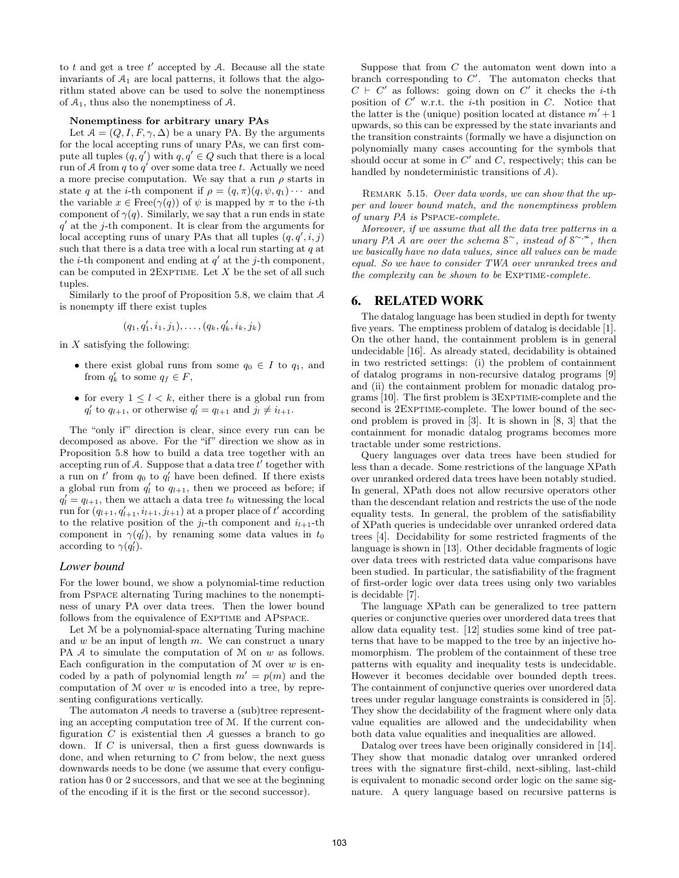to t and get a tree  $t'$  accepted by  $A$ . Because all the state invariants of  $A_1$  are local patterns, it follows that the algorithm stated above can be used to solve the nonemptiness of  $A_1$ , thus also the nonemptiness of  $A$ .

#### Nonemptiness for arbitrary unary PAs

Let  $A = (Q, I, F, \gamma, \Delta)$  be a unary PA. By the arguments for the local accepting runs of unary PAs, we can first compute all tuples  $(q, q')$  with  $q, q' \in Q$  such that there is a local run of A from q to  $q'$  over some data tree t. Actually we need a more precise computation. We say that a run  $\rho$  starts in state q at the *i*-th component if  $\rho = (q, \pi)(q, \psi, q_1) \cdots$  and the variable  $x \in \text{Free}(\gamma(q))$  of  $\psi$  is mapped by  $\pi$  to the *i*-th component of  $\gamma(q)$ . Similarly, we say that a run ends in state  $q'$  at the j-th component. It is clear from the arguments for local accepting runs of unary PAs that all tuples  $(q, q', i, j)$ such that there is a data tree with a local run starting at  $q$  at the *i*-th component and ending at  $q'$  at the *j*-th component, can be computed in  $2$ EXPTIME. Let  $X$  be the set of all such tuples.

Similarly to the proof of Proposition 5.8, we claim that A is nonempty iff there exist tuples

$$
(q_1, q_1', i_1, j_1), \ldots, (q_k, q_k', i_k, j_k)
$$

in  $X$  satisfying the following:

- there exist global runs from some  $q_0 \in I$  to  $q_1$ , and from  $q'_k$  to some  $q_f \in F$ ,
- for every  $1 \leq l \leq k$ , either there is a global run from  $q'_l$  to  $q_{l+1}$ , or otherwise  $q'_l = q_{l+1}$  and  $j_l \neq i_{l+1}$ .

The "only if" direction is clear, since every run can be decomposed as above. For the "if" direction we show as in Proposition 5.8 how to build a data tree together with an accepting run of A. Suppose that a data tree  $\overline{t}'$  together with a run on  $t'$  from  $q_0$  to  $q'_l$  have been defined. If there exists a global run from  $q'_l$  to  $q_{l+1}$ , then we proceed as before; if  $q'_l = q_{l+1}$ , then we attach a data tree  $t_0$  witnessing the local run for  $(q_{l+1}, q'_{l+1}, i_{l+1}, j_{l+1})$  at a proper place of  $t'$  according to the relative position of the  $j_l$ -th component and  $i_{l+1}$ -th component in  $\gamma(q'_l)$ , by renaming some data values in  $t_0$ according to  $\gamma(q'_l)$ .

### *Lower bound*

For the lower bound, we show a polynomial-time reduction from Pspace alternating Turing machines to the nonemptiness of unary PA over data trees. Then the lower bound follows from the equivalence of EXPTIME and APSPACE.

Let M be a polynomial-space alternating Turing machine and  $w$  be an input of length  $m$ . We can construct a unary PA A to simulate the computation of M on w as follows. Each configuration in the computation of  $M$  over  $w$  is encoded by a path of polynomial length  $m' = p(m)$  and the computation of  $M$  over  $w$  is encoded into a tree, by representing configurations vertically.

The automaton A needs to traverse a (sub)tree representing an accepting computation tree of M. If the current configuration  $C$  is existential then  $A$  guesses a branch to go down. If C is universal, then a first guess downwards is done, and when returning to  $C$  from below, the next guess downwards needs to be done (we assume that every configuration has 0 or 2 successors, and that we see at the beginning of the encoding if it is the first or the second successor).

Suppose that from  $C$  the automaton went down into a branch corresponding to  $C'$ . The automaton checks that  $C \vdash C'$  as follows: going down on  $C'$  it checks the *i*-th position of  $C'$  w.r.t. the *i*-th position in  $C$ . Notice that the latter is the (unique) position located at distance  $m' + 1$ upwards, so this can be expressed by the state invariants and the transition constraints (formally we have a disjunction on polynomially many cases accounting for the symbols that should occur at some in  $C'$  and  $C$ , respectively; this can be handled by nondeterministic transitions of A).

REMARK 5.15. Over data words, we can show that the upper and lower bound match, and the nonemptiness problem of unary PA is Pspace-complete.

Moreover, if we assume that all the data tree patterns in a unary PA  $\AA$  are over the schema S<sup>∼</sup>, instead of S<sup>∼,∞</sup>, then we basically have no data values, since all values can be made equal. So we have to consider TWA over unranked trees and the complexity can be shown to be  $EXPTIME-complete$ .

# 6. RELATED WORK

The datalog language has been studied in depth for twenty five years. The emptiness problem of datalog is decidable [1]. On the other hand, the containment problem is in general undecidable [16]. As already stated, decidability is obtained in two restricted settings: (i) the problem of containment of datalog programs in non-recursive datalog programs [9] and (ii) the containment problem for monadic datalog programs [10]. The first problem is 3Exptime-complete and the second is 2EXPTIME-complete. The lower bound of the second problem is proved in [3]. It is shown in [8, 3] that the containment for monadic datalog programs becomes more tractable under some restrictions.

Query languages over data trees have been studied for less than a decade. Some restrictions of the language XPath over unranked ordered data trees have been notably studied. In general, XPath does not allow recursive operators other than the descendant relation and restricts the use of the node equality tests. In general, the problem of the satisfiability of XPath queries is undecidable over unranked ordered data trees [4]. Decidability for some restricted fragments of the language is shown in [13]. Other decidable fragments of logic over data trees with restricted data value comparisons have been studied. In particular, the satisfiability of the fragment of first-order logic over data trees using only two variables is decidable [7].

The language XPath can be generalized to tree pattern queries or conjunctive queries over unordered data trees that allow data equality test. [12] studies some kind of tree patterns that have to be mapped to the tree by an injective homomorphism. The problem of the containment of these tree patterns with equality and inequality tests is undecidable. However it becomes decidable over bounded depth trees. The containment of conjunctive queries over unordered data trees under regular language constraints is considered in [5]. They show the decidability of the fragment where only data value equalities are allowed and the undecidability when both data value equalities and inequalities are allowed.

Datalog over trees have been originally considered in [14]. They show that monadic datalog over unranked ordered trees with the signature first-child, next-sibling, last-child is equivalent to monadic second order logic on the same signature. A query language based on recursive patterns is